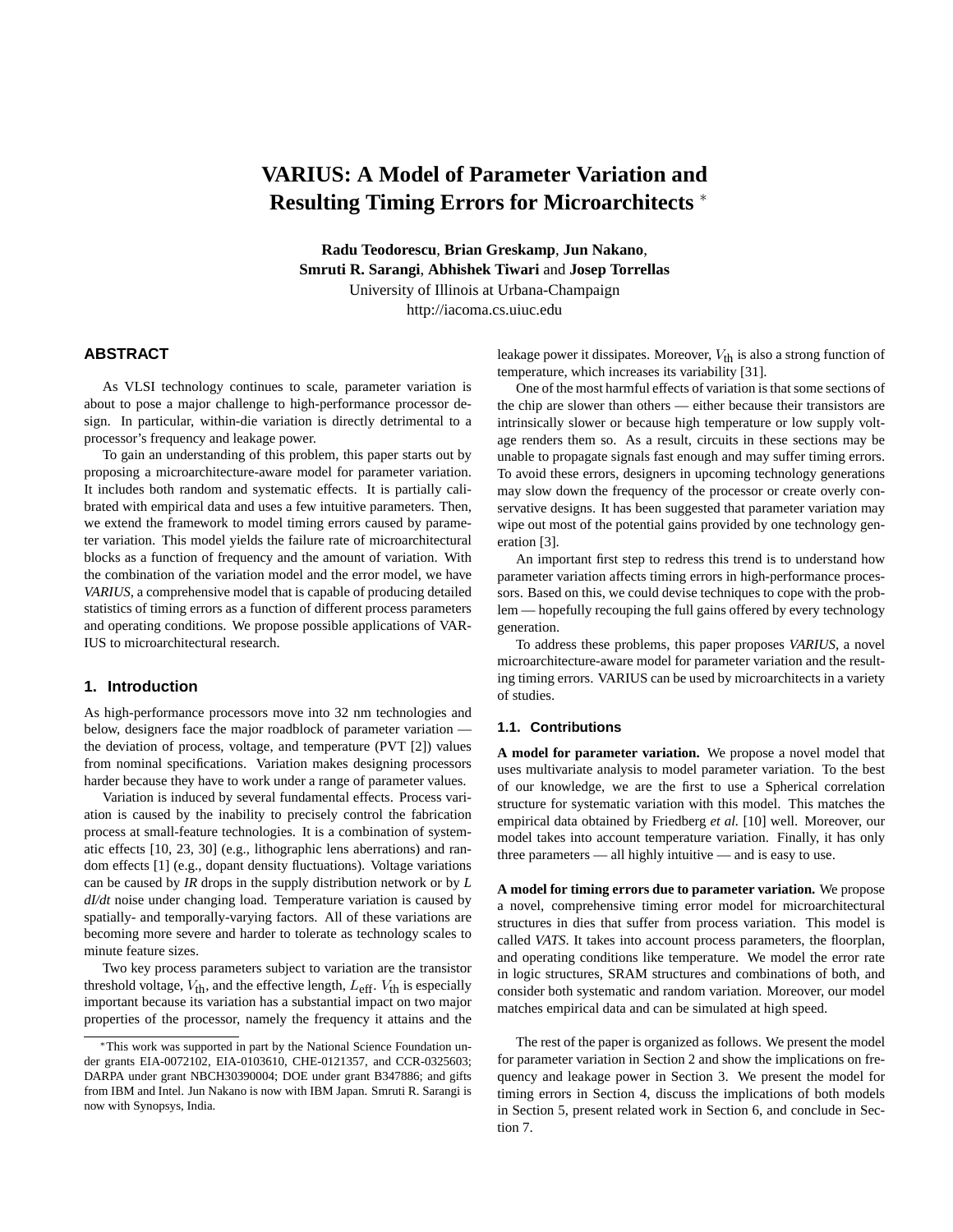# **VARIUS: A Model of Parameter Variation and Resulting Timing Errors for Microarchitects** <sup>∗</sup>

**Radu Teodorescu**, **Brian Greskamp**, **Jun Nakano**, **Smruti R. Sarangi**, **Abhishek Tiwari** and **Josep Torrellas** University of Illinois at Urbana-Champaign http://iacoma.cs.uiuc.edu

# **ABSTRACT**

As VLSI technology continues to scale, parameter variation is about to pose a major challenge to high-performance processor design. In particular, within-die variation is directly detrimental to a processor's frequency and leakage power.

To gain an understanding of this problem, this paper starts out by proposing a microarchitecture-aware model for parameter variation. It includes both random and systematic effects. It is partially calibrated with empirical data and uses a few intuitive parameters. Then, we extend the framework to model timing errors caused by parameter variation. This model yields the failure rate of microarchitectural blocks as a function of frequency and the amount of variation. With the combination of the variation model and the error model, we have *VARIUS*, a comprehensive model that is capable of producing detailed statistics of timing errors as a function of different process parameters and operating conditions. We propose possible applications of VAR-IUS to microarchitectural research.

# **1. Introduction**

As high-performance processors move into 32 nm technologies and below, designers face the major roadblock of parameter variation the deviation of process, voltage, and temperature (PVT [2]) values from nominal specifications. Variation makes designing processors harder because they have to work under a range of parameter values.

Variation is induced by several fundamental effects. Process variation is caused by the inability to precisely control the fabrication process at small-feature technologies. It is a combination of systematic effects [10, 23, 30] (e.g., lithographic lens aberrations) and random effects [1] (e.g., dopant density fluctuations). Voltage variations can be caused by *IR* drops in the supply distribution network or by *L dI/dt* noise under changing load. Temperature variation is caused by spatially- and temporally-varying factors. All of these variations are becoming more severe and harder to tolerate as technology scales to minute feature sizes.

Two key process parameters subject to variation are the transistor threshold voltage,  $V_{th}$ , and the effective length,  $L_{eff}$ .  $V_{th}$  is especially important because its variation has a substantial impact on two major properties of the processor, namely the frequency it attains and the leakage power it dissipates. Moreover,  $V_{\text{th}}$  is also a strong function of temperature, which increases its variability [31].

One of the most harmful effects of variation is that some sections of the chip are slower than others — either because their transistors are intrinsically slower or because high temperature or low supply voltage renders them so. As a result, circuits in these sections may be unable to propagate signals fast enough and may suffer timing errors. To avoid these errors, designers in upcoming technology generations may slow down the frequency of the processor or create overly conservative designs. It has been suggested that parameter variation may wipe out most of the potential gains provided by one technology generation [3].

An important first step to redress this trend is to understand how parameter variation affects timing errors in high-performance processors. Based on this, we could devise techniques to cope with the problem — hopefully recouping the full gains offered by every technology generation.

To address these problems, this paper proposes *VARIUS*, a novel microarchitecture-aware model for parameter variation and the resulting timing errors. VARIUS can be used by microarchitects in a variety of studies.

## **1.1. Contributions**

**A model for parameter variation.** We propose a novel model that uses multivariate analysis to model parameter variation. To the best of our knowledge, we are the first to use a Spherical correlation structure for systematic variation with this model. This matches the empirical data obtained by Friedberg *et al.* [10] well. Moreover, our model takes into account temperature variation. Finally, it has only three parameters — all highly intuitive — and is easy to use.

**A model for timing errors due to parameter variation.** We propose a novel, comprehensive timing error model for microarchitectural structures in dies that suffer from process variation. This model is called *VATS*. It takes into account process parameters, the floorplan, and operating conditions like temperature. We model the error rate in logic structures, SRAM structures and combinations of both, and consider both systematic and random variation. Moreover, our model matches empirical data and can be simulated at high speed.

The rest of the paper is organized as follows. We present the model for parameter variation in Section 2 and show the implications on frequency and leakage power in Section 3. We present the model for timing errors in Section 4, discuss the implications of both models in Section 5, present related work in Section 6, and conclude in Section 7.

<sup>∗</sup>This work was supported in part by the National Science Foundation under grants EIA-0072102, EIA-0103610, CHE-0121357, and CCR-0325603; DARPA under grant NBCH30390004; DOE under grant B347886; and gifts from IBM and Intel. Jun Nakano is now with IBM Japan. Smruti R. Sarangi is now with Synopsys, India.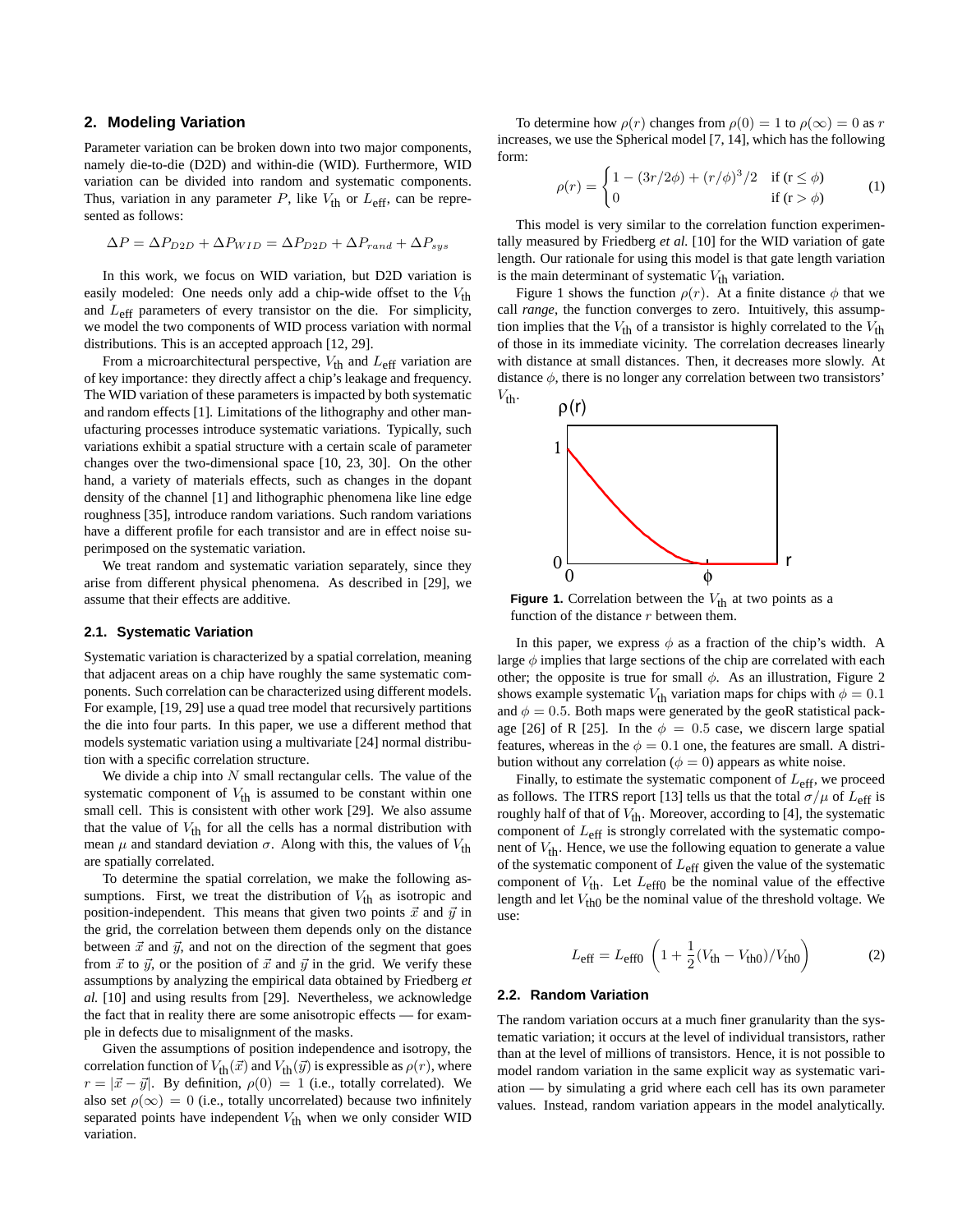## **2. Modeling Variation**

Parameter variation can be broken down into two major components, namely die-to-die (D2D) and within-die (WID). Furthermore, WID variation can be divided into random and systematic components. Thus, variation in any parameter  $P$ , like  $V_{th}$  or  $L_{eff}$ , can be represented as follows:

$$
\Delta P = \Delta P_{D2D} + \Delta P_{WID} = \Delta P_{D2D} + \Delta P_{rand} + \Delta P_{sys}
$$

In this work, we focus on WID variation, but D2D variation is easily modeled: One needs only add a chip-wide offset to the  $V_{\text{th}}$ and  $L_{\text{eff}}$  parameters of every transistor on the die. For simplicity, we model the two components of WID process variation with normal distributions. This is an accepted approach [12, 29].

From a microarchitectural perspective,  $V_{th}$  and  $L_{eff}$  variation are of key importance: they directly affect a chip's leakage and frequency. The WID variation of these parameters is impacted by both systematic and random effects [1]. Limitations of the lithography and other manufacturing processes introduce systematic variations. Typically, such variations exhibit a spatial structure with a certain scale of parameter changes over the two-dimensional space [10, 23, 30]. On the other hand, a variety of materials effects, such as changes in the dopant density of the channel [1] and lithographic phenomena like line edge roughness [35], introduce random variations. Such random variations have a different profile for each transistor and are in effect noise superimposed on the systematic variation.

We treat random and systematic variation separately, since they arise from different physical phenomena. As described in [29], we assume that their effects are additive.

## **2.1. Systematic Variation**

Systematic variation is characterized by a spatial correlation, meaning that adjacent areas on a chip have roughly the same systematic components. Such correlation can be characterized using different models. For example, [19, 29] use a quad tree model that recursively partitions the die into four parts. In this paper, we use a different method that models systematic variation using a multivariate [24] normal distribution with a specific correlation structure.

We divide a chip into  $N$  small rectangular cells. The value of the systematic component of  $V_{\text{th}}$  is assumed to be constant within one small cell. This is consistent with other work [29]. We also assume that the value of  $V_{\text{th}}$  for all the cells has a normal distribution with mean  $\mu$  and standard deviation  $\sigma$ . Along with this, the values of  $V_{\text{th}}$ are spatially correlated.

To determine the spatial correlation, we make the following assumptions. First, we treat the distribution of  $V_{th}$  as isotropic and position-independent. This means that given two points  $\vec{x}$  and  $\vec{y}$  in the grid, the correlation between them depends only on the distance between  $\vec{x}$  and  $\vec{y}$ , and not on the direction of the segment that goes from  $\vec{x}$  to  $\vec{y}$ , or the position of  $\vec{x}$  and  $\vec{y}$  in the grid. We verify these assumptions by analyzing the empirical data obtained by Friedberg *et al.* [10] and using results from [29]. Nevertheless, we acknowledge the fact that in reality there are some anisotropic effects — for example in defects due to misalignment of the masks.

Given the assumptions of position independence and isotropy, the correlation function of  $V_{\text{th}}(\vec{x})$  and  $V_{\text{th}}(\vec{y})$  is expressible as  $\rho(r)$ , where  $r = |\vec{x} - \vec{y}|$ . By definition,  $\rho(0) = 1$  (i.e., totally correlated). We also set  $\rho(\infty) = 0$  (i.e., totally uncorrelated) because two infinitely separated points have independent  $V_{\text{th}}$  when we only consider WID variation.

To determine how  $\rho(r)$  changes from  $\rho(0) = 1$  to  $\rho(\infty) = 0$  as r increases, we use the Spherical model [7, 14], which has the following form:

$$
\rho(r) = \begin{cases} 1 - (3r/2\phi) + (r/\phi)^3/2 & \text{if } (r \le \phi) \\ 0 & \text{if } (r > \phi) \end{cases}
$$
 (1)

This model is very similar to the correlation function experimentally measured by Friedberg *et al.* [10] for the WID variation of gate length. Our rationale for using this model is that gate length variation is the main determinant of systematic  $V_{th}$  variation.

Figure 1 shows the function  $\rho(r)$ . At a finite distance  $\phi$  that we call *range*, the function converges to zero. Intuitively, this assumption implies that the  $V_{\text{th}}$  of a transistor is highly correlated to the  $V_{\text{th}}$ of those in its immediate vicinity. The correlation decreases linearly with distance at small distances. Then, it decreases more slowly. At distance  $\phi$ , there is no longer any correlation between two transistors'  $V_{\text{th}}$ .



**Figure 1.** Correlation between the  $V_{th}$  at two points as a function of the distance  $r$  between them.

In this paper, we express  $\phi$  as a fraction of the chip's width. A large  $\phi$  implies that large sections of the chip are correlated with each other; the opposite is true for small  $\phi$ . As an illustration, Figure 2 shows example systematic  $V_{\text{th}}$  variation maps for chips with  $\phi = 0.1$ and  $\phi = 0.5$ . Both maps were generated by the geoR statistical package [26] of R [25]. In the  $\phi = 0.5$  case, we discern large spatial features, whereas in the  $\phi = 0.1$  one, the features are small. A distribution without any correlation ( $\phi = 0$ ) appears as white noise.

Finally, to estimate the systematic component of  $L_{\text{eff}}$ , we proceed as follows. The ITRS report [13] tells us that the total  $\sigma/\mu$  of  $L_{\text{eff}}$  is roughly half of that of  $V_{th}$ . Moreover, according to [4], the systematic component of  $L_{\text{eff}}$  is strongly correlated with the systematic component of  $V_{\text{th}}$ . Hence, we use the following equation to generate a value of the systematic component of  $L_{\text{eff}}$  given the value of the systematic component of  $V_{\text{th}}$ . Let  $L_{\text{eff}0}$  be the nominal value of the effective length and let  $V_{th0}$  be the nominal value of the threshold voltage. We use:

$$
L_{\text{eff}} = L_{\text{eff0}} \left( 1 + \frac{1}{2} (V_{\text{th}} - V_{\text{th0}}) / V_{\text{th0}} \right)
$$
 (2)

#### **2.2. Random Variation**

The random variation occurs at a much finer granularity than the systematic variation; it occurs at the level of individual transistors, rather than at the level of millions of transistors. Hence, it is not possible to model random variation in the same explicit way as systematic variation — by simulating a grid where each cell has its own parameter values. Instead, random variation appears in the model analytically.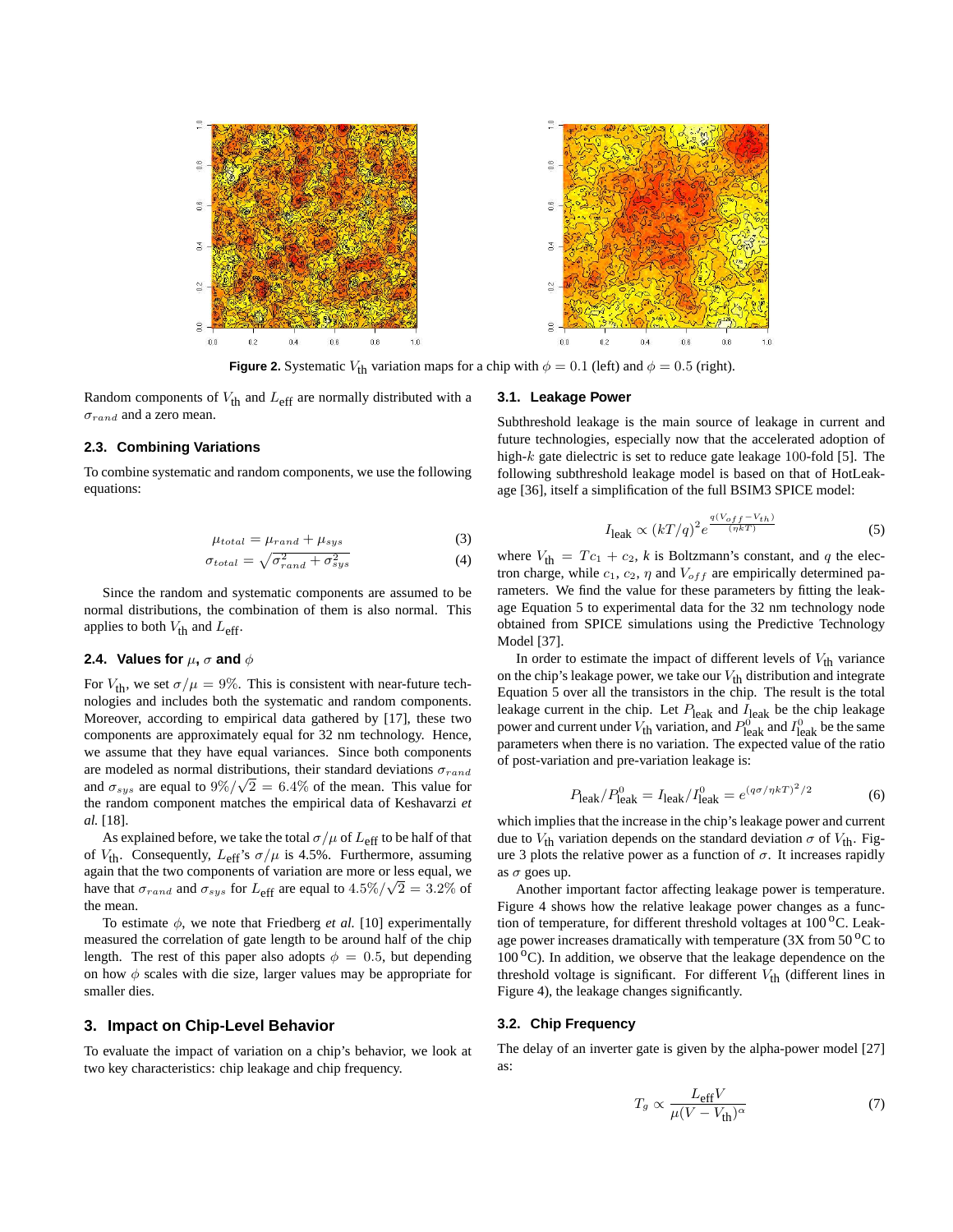

**Figure 2.** Systematic  $V_{\text{th}}$  variation maps for a chip with  $\phi = 0.1$  (left) and  $\phi = 0.5$  (right).

Random components of  $V_{\text{th}}$  and  $L_{\text{eff}}$  are normally distributed with a  $\sigma_{rand}$  and a zero mean.

#### **2.3. Combining Variations**

To combine systematic and random components, we use the following equations:

$$
\mu_{total} = \mu_{rand} + \mu_{sys} \tag{3}
$$

$$
\sigma_{total} = \sqrt{\sigma_{rand}^2 + \sigma_{sys}^2} \tag{4}
$$

Since the random and systematic components are assumed to be normal distributions, the combination of them is also normal. This applies to both  $V_{\text{th}}$  and  $L_{\text{eff}}$ .

## **2.4.** Values for  $\mu$ ,  $\sigma$  and  $\phi$

For  $V_{\text{th}}$ , we set  $\sigma/\mu = 9\%$ . This is consistent with near-future technologies and includes both the systematic and random components. Moreover, according to empirical data gathered by [17], these two components are approximately equal for 32 nm technology. Hence, we assume that they have equal variances. Since both components are modeled as normal distributions, their standard deviations  $\sigma_{rand}$ and  $\sigma_{sys}$  are equal to  $9\% / \sqrt{2} = 6.4\%$  of the mean. This value for the random component matches the empirical data of Keshavarzi *et al.* [18].

As explained before, we take the total  $\sigma/\mu$  of  $L_{\text{eff}}$  to be half of that of  $V_{\text{th}}$ . Consequently,  $L_{\text{eff}}$ 's  $\sigma/\mu$  is 4.5%. Furthermore, assuming again that the two components of variation are more or less equal, we have that  $\sigma_{rand}$  and  $\sigma_{sys}$  for  $L_{\text{eff}}$  are equal to  $4.5\%/\sqrt{2} = 3.2\%$  of the mean.

To estimate  $\phi$ , we note that Friedberg *et al.* [10] experimentally measured the correlation of gate length to be around half of the chip length. The rest of this paper also adopts  $\phi = 0.5$ , but depending on how  $\phi$  scales with die size, larger values may be appropriate for smaller dies.

## **3. Impact on Chip-Level Behavior**

To evaluate the impact of variation on a chip's behavior, we look at two key characteristics: chip leakage and chip frequency.

#### **3.1. Leakage Power**

Subthreshold leakage is the main source of leakage in current and future technologies, especially now that the accelerated adoption of high- $k$  gate dielectric is set to reduce gate leakage 100-fold [5]. The following subthreshold leakage model is based on that of HotLeakage [36], itself a simplification of the full BSIM3 SPICE model:

$$
I_{\text{leak}} \propto (kT/q)^2 e^{\frac{q(V_{off} - V_{th})}{(\eta kT)}}
$$
\n<sup>(5)</sup>

where  $V_{\text{th}} = T c_1 + c_2$ , *k* is Boltzmann's constant, and *q* the electron charge, while  $c_1$ ,  $c_2$ ,  $\eta$  and  $V_{off}$  are empirically determined parameters. We find the value for these parameters by fitting the leakage Equation 5 to experimental data for the 32 nm technology node obtained from SPICE simulations using the Predictive Technology Model [37].

In order to estimate the impact of different levels of  $V_{\text{th}}$  variance on the chip's leakage power, we take our  $V_{th}$  distribution and integrate Equation 5 over all the transistors in the chip. The result is the total leakage current in the chip. Let  $P_{\text{leak}}$  and  $I_{\text{leak}}$  be the chip leakage power and current under  $V_{\text{th}}$  variation, and  $P_{\text{leak}}^{\text{o}}$  and  $I_{\text{leak}}^{\text{o}}$  be the same parameters when there is no variation. The expected value of the ratio of post-variation and pre-variation leakage is:

$$
P_{\text{leak}}/P_{\text{leak}}^0 = I_{\text{leak}}/I_{\text{leak}}^0 = e^{(q\sigma/\eta kT)^2/2}
$$
(6)

which implies that the increase in the chip's leakage power and current due to  $V_{\text{th}}$  variation depends on the standard deviation  $\sigma$  of  $V_{\text{th}}$ . Figure 3 plots the relative power as a function of  $\sigma$ . It increases rapidly as  $\sigma$  goes up.

Another important factor affecting leakage power is temperature. Figure 4 shows how the relative leakage power changes as a function of temperature, for different threshold voltages at  $100^{\circ}$ C. Leakage power increases dramatically with temperature (3X from  $50\,^{\circ}\text{C}$  to  $100^{\circ}$ C). In addition, we observe that the leakage dependence on the threshold voltage is significant. For different  $V_{th}$  (different lines in Figure 4), the leakage changes significantly.

## **3.2. Chip Frequency**

The delay of an inverter gate is given by the alpha-power model [27] as:

$$
T_g \propto \frac{L_{\text{eff}} V}{\mu (V - V_{\text{th}})^{\alpha}} \tag{7}
$$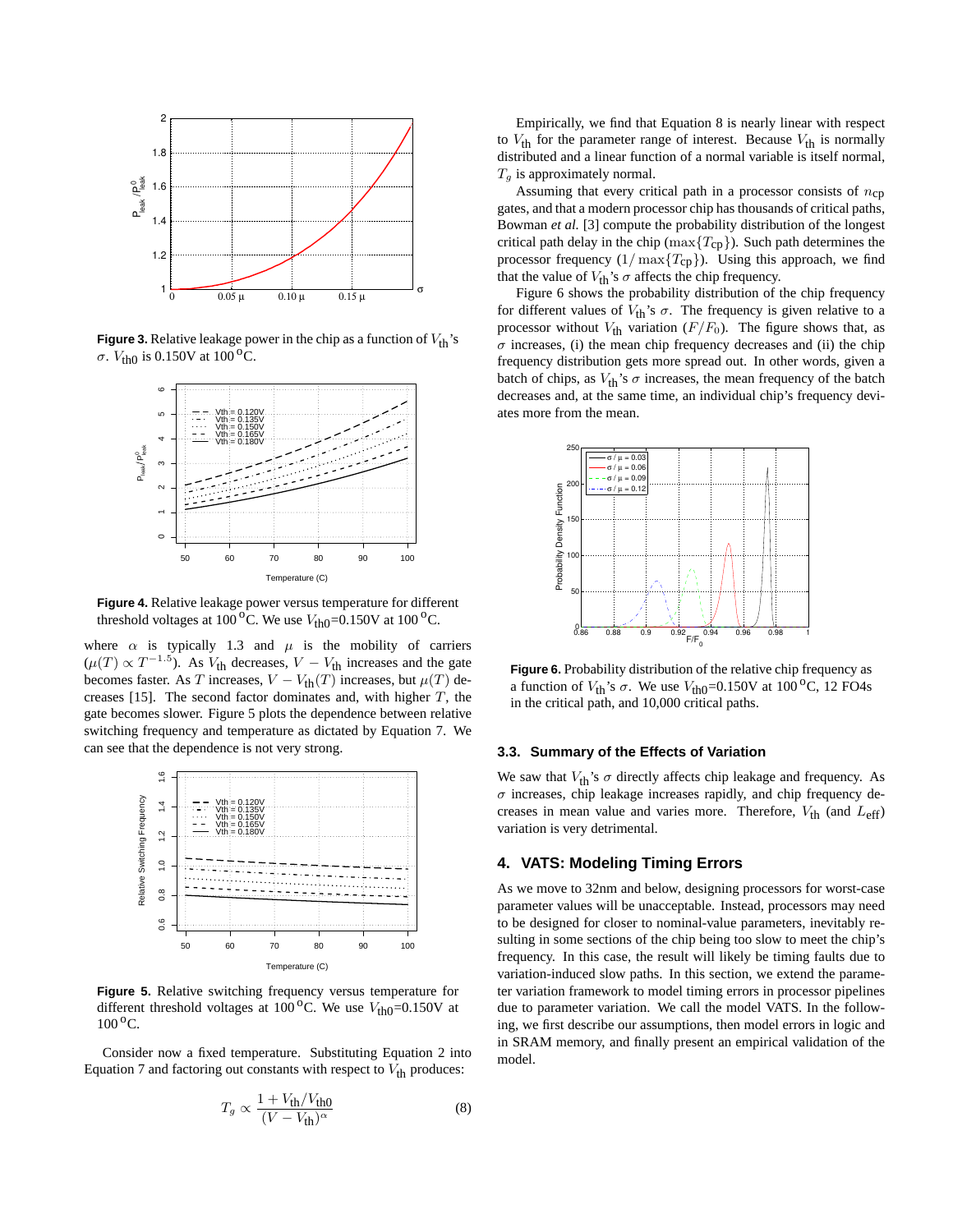

**Figure 3.** Relative leakage power in the chip as a function of  $V_{th}$ 's σ.  $V_{\text{th}}$  is 0.150V at 100<sup>o</sup>C.



**Figure 4.** Relative leakage power versus temperature for different threshold voltages at 100<sup>o</sup>C. We use  $V_{\text{th0}}$ =0.150V at 100<sup>o</sup>C.

where  $\alpha$  is typically 1.3 and  $\mu$  is the mobility of carriers  $(\mu(T) \propto T^{-1.5})$ . As  $V_{\text{th}}$  decreases,  $V - V_{\text{th}}$  increases and the gate becomes faster. As T increases,  $V - V_{\text{th}}(T)$  increases, but  $\mu(T)$  decreases [15]. The second factor dominates and, with higher  $T$ , the gate becomes slower. Figure 5 plots the dependence between relative switching frequency and temperature as dictated by Equation 7. We can see that the dependence is not very strong.



**Figure 5.** Relative switching frequency versus temperature for different threshold voltages at 100<sup>o</sup>C. We use  $V_{\text{th0}}$ =0.150V at  $100^{\circ}$ C.

Consider now a fixed temperature. Substituting Equation 2 into Equation 7 and factoring out constants with respect to  $V_{\text{th}}$  produces:

$$
T_g \propto \frac{1 + V_{\text{th}}/V_{\text{th0}}}{(V - V_{\text{th}})^\alpha} \tag{8}
$$

Empirically, we find that Equation 8 is nearly linear with respect to  $V_{\text{th}}$  for the parameter range of interest. Because  $V_{\text{th}}$  is normally distributed and a linear function of a normal variable is itself normal,  $T_q$  is approximately normal.

Assuming that every critical path in a processor consists of  $n_{cp}$ gates, and that a modern processor chip has thousands of critical paths, Bowman *et al.* [3] compute the probability distribution of the longest critical path delay in the chip ( $\max\{T_{cp}\}$ ). Such path determines the processor frequency  $(1/\max{T_{cp}})$ . Using this approach, we find that the value of  $V_{\text{th}}$ 's  $\sigma$  affects the chip frequency.

Figure 6 shows the probability distribution of the chip frequency for different values of  $V_{\text{th}}$ 's  $\sigma$ . The frequency is given relative to a processor without  $V_{\text{th}}$  variation  $(F/F_0)$ . The figure shows that, as  $\sigma$  increases, (i) the mean chip frequency decreases and (ii) the chip frequency distribution gets more spread out. In other words, given a batch of chips, as  $V_{\text{th}}$ 's  $\sigma$  increases, the mean frequency of the batch decreases and, at the same time, an individual chip's frequency deviates more from the mean.



**Figure 6.** Probability distribution of the relative chip frequency as a function of  $V_{\text{th}}$ 's  $\sigma$ . We use  $V_{\text{th0}}$ =0.150V at 100<sup>o</sup>C, 12 FO4s in the critical path, and 10,000 critical paths.

## **3.3. Summary of the Effects of Variation**

We saw that  $V_{\text{th}}$ 's  $\sigma$  directly affects chip leakage and frequency. As  $\sigma$  increases, chip leakage increases rapidly, and chip frequency decreases in mean value and varies more. Therefore,  $V_{\text{th}}$  (and  $L_{\text{eff}}$ ) variation is very detrimental.

# **4. VATS: Modeling Timing Errors**

As we move to 32nm and below, designing processors for worst-case parameter values will be unacceptable. Instead, processors may need to be designed for closer to nominal-value parameters, inevitably resulting in some sections of the chip being too slow to meet the chip's frequency. In this case, the result will likely be timing faults due to variation-induced slow paths. In this section, we extend the parameter variation framework to model timing errors in processor pipelines due to parameter variation. We call the model VATS. In the following, we first describe our assumptions, then model errors in logic and in SRAM memory, and finally present an empirical validation of the model.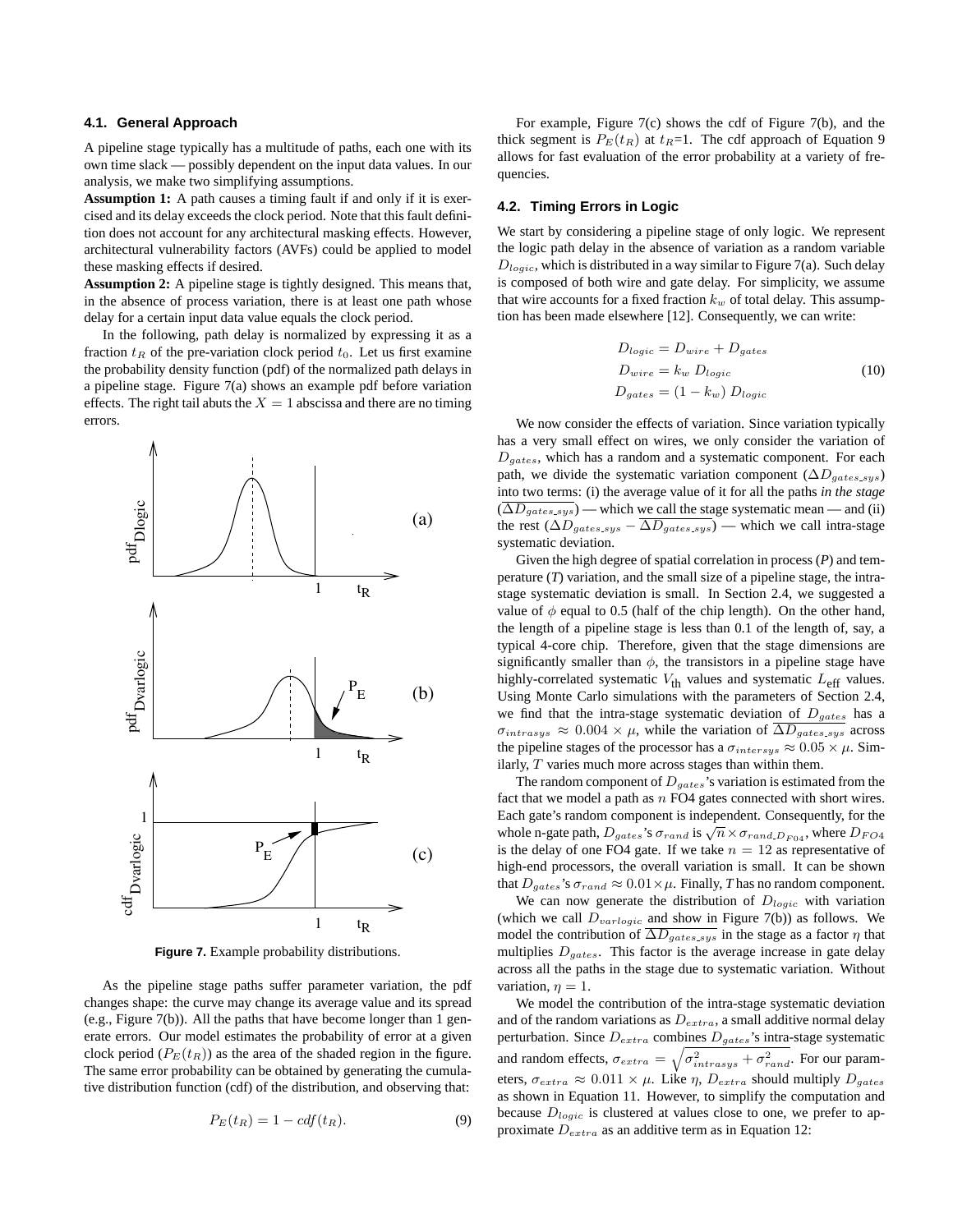#### **4.1. General Approach**

A pipeline stage typically has a multitude of paths, each one with its own time slack — possibly dependent on the input data values. In our analysis, we make two simplifying assumptions.

**Assumption 1:** A path causes a timing fault if and only if it is exercised and its delay exceeds the clock period. Note that this fault definition does not account for any architectural masking effects. However, architectural vulnerability factors (AVFs) could be applied to model these masking effects if desired.

**Assumption 2:** A pipeline stage is tightly designed. This means that, in the absence of process variation, there is at least one path whose delay for a certain input data value equals the clock period.

In the following, path delay is normalized by expressing it as a fraction  $t_R$  of the pre-variation clock period  $t_0$ . Let us first examine the probability density function (pdf) of the normalized path delays in a pipeline stage. Figure 7(a) shows an example pdf before variation effects. The right tail abuts the  $X = 1$  abscissa and there are no timing errors.



**Figure 7.** Example probability distributions.

As the pipeline stage paths suffer parameter variation, the pdf changes shape: the curve may change its average value and its spread (e.g., Figure 7(b)). All the paths that have become longer than 1 generate errors. Our model estimates the probability of error at a given clock period ( $P_E(t_R)$ ) as the area of the shaded region in the figure. The same error probability can be obtained by generating the cumulative distribution function (cdf) of the distribution, and observing that:

$$
P_E(t_R) = 1 - cdf(t_R). \tag{9}
$$

For example, Figure 7(c) shows the cdf of Figure 7(b), and the thick segment is  $P_E(t_R)$  at  $t_R=1$ . The cdf approach of Equation 9 allows for fast evaluation of the error probability at a variety of frequencies.

## **4.2. Timing Errors in Logic**

We start by considering a pipeline stage of only logic. We represent the logic path delay in the absence of variation as a random variable  $D_{logic}$ , which is distributed in a way similar to Figure 7(a). Such delay is composed of both wire and gate delay. For simplicity, we assume that wire accounts for a fixed fraction  $k_w$  of total delay. This assumption has been made elsewhere [12]. Consequently, we can write:

$$
D_{logic} = D_{wire} + D_{gates}
$$
  
\n
$$
D_{wire} = k_w D_{logic}
$$
  
\n
$$
D_{gates} = (1 - k_w) D_{logic}
$$
  
\n(10)

We now consider the effects of variation. Since variation typically has a very small effect on wires, we only consider the variation of  $D_{gates}$ , which has a random and a systematic component. For each path, we divide the systematic variation component ( $\Delta D_{gates,sys}$ ) into two terms: (i) the average value of it for all the paths *in the stage*  $(\overline{\Delta D_{\text{gates,sys}}})$  — which we call the stage systematic mean — and (ii) the rest ( $\Delta D_{gates\_sys} - \Delta D_{gates\_sys}$ ) — which we call intra-stage systematic deviation.

Given the high degree of spatial correlation in process (*P*) and temperature (*T*) variation, and the small size of a pipeline stage, the intrastage systematic deviation is small. In Section 2.4, we suggested a value of  $\phi$  equal to 0.5 (half of the chip length). On the other hand, the length of a pipeline stage is less than 0.1 of the length of, say, a typical 4-core chip. Therefore, given that the stage dimensions are significantly smaller than  $\phi$ , the transistors in a pipeline stage have highly-correlated systematic  $V_{\text{th}}$  values and systematic  $L_{\text{eff}}$  values. Using Monte Carlo simulations with the parameters of Section 2.4, we find that the intra-stage systematic deviation of  $D_{gates}$  has a  $\sigma_{intrasys} \approx 0.004 \times \mu$ , while the variation of  $\overline{\Delta D_{gates.sys}}$  across the pipeline stages of the processor has a  $\sigma_{intersys} \approx 0.05 \times \mu$ . Similarly,  $T$  varies much more across stages than within them.

The random component of  $D_{gates}$ 's variation is estimated from the fact that we model a path as  $n$  FO4 gates connected with short wires. Each gate's random component is independent. Consequently, for the Each gate s random component is independent. Consequently, for the whole n-gate path,  $D_{gates}$ 's  $\sigma_{rand}$  is  $\sqrt{n} \times \sigma_{rand, D_{F04}}$ , where  $D_{FO4}$ is the delay of one FO4 gate. If we take  $n = 12$  as representative of high-end processors, the overall variation is small. It can be shown that  $D_{gates}$ 's  $\sigma_{rand} \approx 0.01 \times \mu$ . Finally, *T* has no random component.

We can now generate the distribution of  $D_{logic}$  with variation (which we call  $D_{varlogic}$  and show in Figure 7(b)) as follows. We model the contribution of  $\overline{\Delta D_{gates,sys}}$  in the stage as a factor  $\eta$  that multiplies  $D_{aates}$ . This factor is the average increase in gate delay across all the paths in the stage due to systematic variation. Without variation,  $\eta = 1$ .

We model the contribution of the intra-stage systematic deviation and of the random variations as  $D_{extra}$ , a small additive normal delay perturbation. Since  $D_{extra}$  combines  $D_{gate}$ 's intra-stage systematic and random effects,  $\sigma_{extra} = \sqrt{\sigma_{intrasys}^2 + \sigma_{rand}^2}$ . For our parameters,  $\sigma_{extra} \approx 0.011 \times \mu$ . Like  $\eta$ ,  $D_{extra}$  should multiply  $D_{gates}$ as shown in Equation 11. However, to simplify the computation and because  $D_{logic}$  is clustered at values close to one, we prefer to approximate  $D_{extra}$  as an additive term as in Equation 12: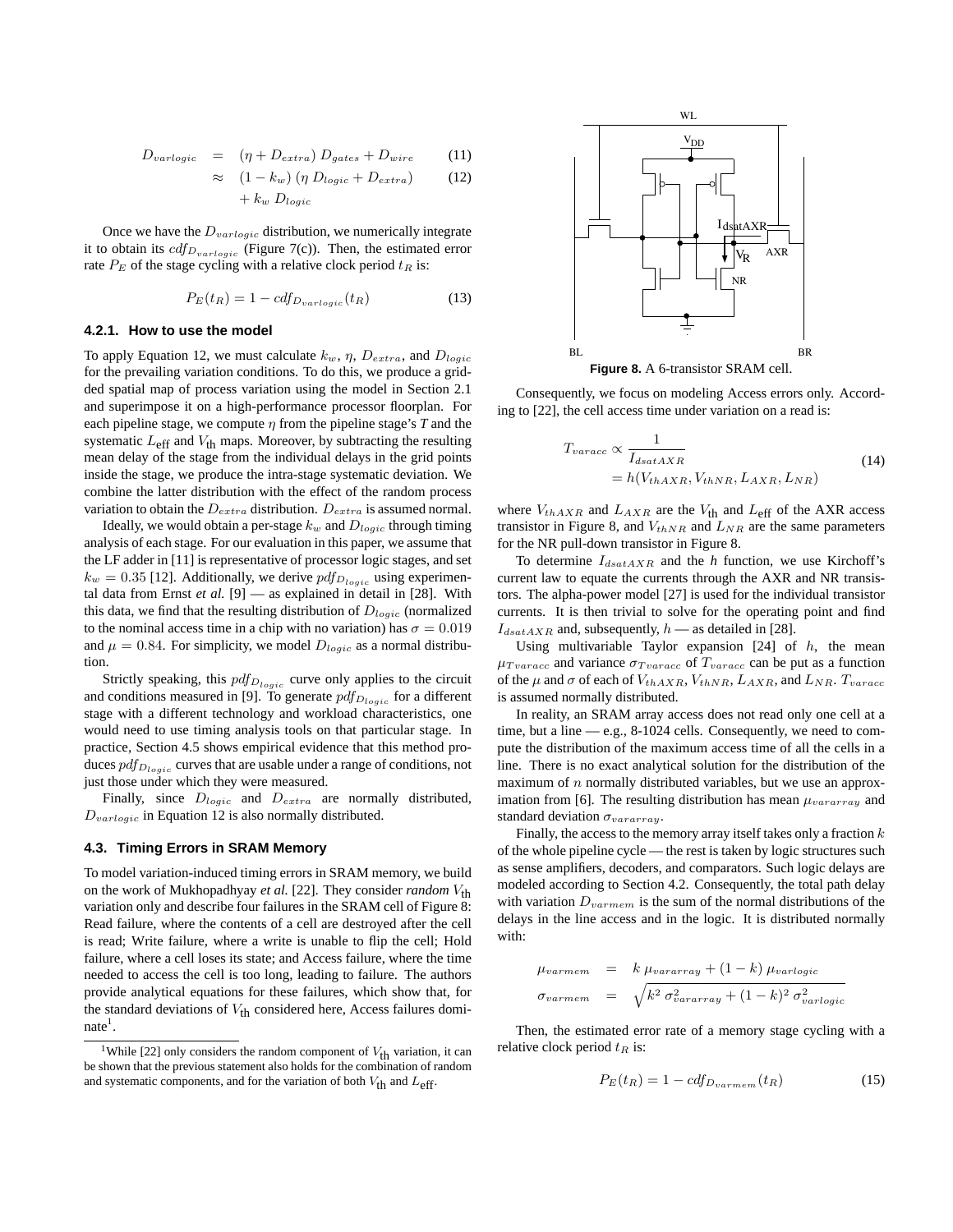$$
D_{varlogic} = (\eta + D_{extra}) D_{gates} + D_{wire}
$$
 (11)

$$
\approx (1 - k_w) (\eta \ D_{logic} + D_{extra}) \tag{12}
$$

$$
+ k_w \ D_{logic}
$$

Once we have the  $D_{variable}$  distribution, we numerically integrate it to obtain its  $cdf_{D_{variable}}$  (Figure 7(c)). Then, the estimated error rate  $P_E$  of the stage cycling with a relative clock period  $t_R$  is:

$$
P_E(t_R) = 1 - cdf_{D_{varlogic}}(t_R)
$$
\n(13)

#### **4.2.1. How to use the model**

To apply Equation 12, we must calculate  $k_w$ ,  $\eta$ ,  $D_{extra}$ , and  $D_{logic}$ for the prevailing variation conditions. To do this, we produce a gridded spatial map of process variation using the model in Section 2.1 and superimpose it on a high-performance processor floorplan. For each pipeline stage, we compute  $\eta$  from the pipeline stage's  $T$  and the systematic  $L_{\text{eff}}$  and  $V_{\text{th}}$  maps. Moreover, by subtracting the resulting mean delay of the stage from the individual delays in the grid points inside the stage, we produce the intra-stage systematic deviation. We combine the latter distribution with the effect of the random process variation to obtain the  $D_{extra}$  distribution.  $D_{extra}$  is assumed normal.

Ideally, we would obtain a per-stage  $k_w$  and  $D_{logic}$  through timing analysis of each stage. For our evaluation in this paper, we assume that the LF adder in [11] is representative of processor logic stages, and set  $k_w = 0.35$  [12]. Additionally, we derive  $pdf_{D_{logic}}$  using experimental data from Ernst *et al.* [9] — as explained in detail in [28]. With this data, we find that the resulting distribution of  $D_{loqic}$  (normalized to the nominal access time in a chip with no variation) has  $\sigma = 0.019$ and  $\mu = 0.84$ . For simplicity, we model  $D_{logic}$  as a normal distribution.

Strictly speaking, this  $pdf_{D_{logic}}$  curve only applies to the circuit and conditions measured in [9]. To generate  $pdf_{D_{logic}}$  for a different stage with a different technology and workload characteristics, one would need to use timing analysis tools on that particular stage. In practice, Section 4.5 shows empirical evidence that this method produces  $pdf_{D_{logic}}$  curves that are usable under a range of conditions, not just those under which they were measured.

Finally, since  $D_{logic}$  and  $D_{extra}$  are normally distributed,  $D_{variable}$  in Equation 12 is also normally distributed.

#### **4.3. Timing Errors in SRAM Memory**

To model variation-induced timing errors in SRAM memory, we build on the work of Mukhopadhyay *et al.* [22]. They consider *random*  $V_{\text{th}}$ variation only and describe four failures in the SRAM cell of Figure 8: Read failure, where the contents of a cell are destroyed after the cell is read; Write failure, where a write is unable to flip the cell; Hold failure, where a cell loses its state; and Access failure, where the time needed to access the cell is too long, leading to failure. The authors provide analytical equations for these failures, which show that, for the standard deviations of  $V_{\text{th}}$  considered here, Access failures domi $nate<sup>1</sup>$ .



**Figure 8.** A 6-transistor SRAM cell.

Consequently, we focus on modeling Access errors only. According to [22], the cell access time under variation on a read is:

$$
T_{varacc} \propto \frac{1}{I_{dsatAXR}}
$$
  
=  $h(V_{thAXR}, V_{thNR}, L_{AXR}, L_{NR})$  (14)

where  $V_{thAXR}$  and  $L_{AXR}$  are the  $V_{th}$  and  $L_{\text{eff}}$  of the AXR access transistor in Figure 8, and  $V_{thNR}$  and  $L_{NR}$  are the same parameters for the NR pull-down transistor in Figure 8.

To determine  $I_{dsatAXR}$  and the *h* function, we use Kirchoff's current law to equate the currents through the AXR and NR transistors. The alpha-power model [27] is used for the individual transistor currents. It is then trivial to solve for the operating point and find  $I_{dsatAXR}$  and, subsequently,  $h$  — as detailed in [28].

Using multivariable Taylor expansion  $[24]$  of h, the mean  $\mu_{Tvaracc}$  and variance  $\sigma_{Tvaracc}$  of  $T_{varacc}$  can be put as a function of the  $\mu$  and  $\sigma$  of each of  $V_{thAXR}$ ,  $V_{thNR}$ ,  $L_{AXR}$ , and  $L_{NR}$ .  $T_{varacc}$ is assumed normally distributed.

In reality, an SRAM array access does not read only one cell at a time, but a line — e.g., 8-1024 cells. Consequently, we need to compute the distribution of the maximum access time of all the cells in a line. There is no exact analytical solution for the distribution of the maximum of  $n$  normally distributed variables, but we use an approximation from [6]. The resulting distribution has mean  $\mu_{vararray}$  and standard deviation  $\sigma_{vararray}$ .

Finally, the access to the memory array itself takes only a fraction  $k$ of the whole pipeline cycle — the rest is taken by logic structures such as sense amplifiers, decoders, and comparators. Such logic delays are modeled according to Section 4.2. Consequently, the total path delay with variation  $D_{varmem}$  is the sum of the normal distributions of the delays in the line access and in the logic. It is distributed normally with:

$$
\mu_{varmem} = k \mu_{vararray} + (1 - k) \mu_{varlogic}
$$
  

$$
\sigma_{varmem} = \sqrt{k^2 \sigma_{var array}^2 + (1 - k)^2 \sigma_{varlogic}^2}
$$

Then, the estimated error rate of a memory stage cycling with a relative clock period  $t_R$  is:

$$
P_E(t_R) = 1 - cdf_{D_{varmem}}(t_R)
$$
\n<sup>(15)</sup>

<sup>&</sup>lt;sup>1</sup>While [22] only considers the random component of  $V_{\text{th}}$  variation, it can be shown that the previous statement also holds for the combination of random and systematic components, and for the variation of both  $V_{th}$  and  $L_{eff}$ .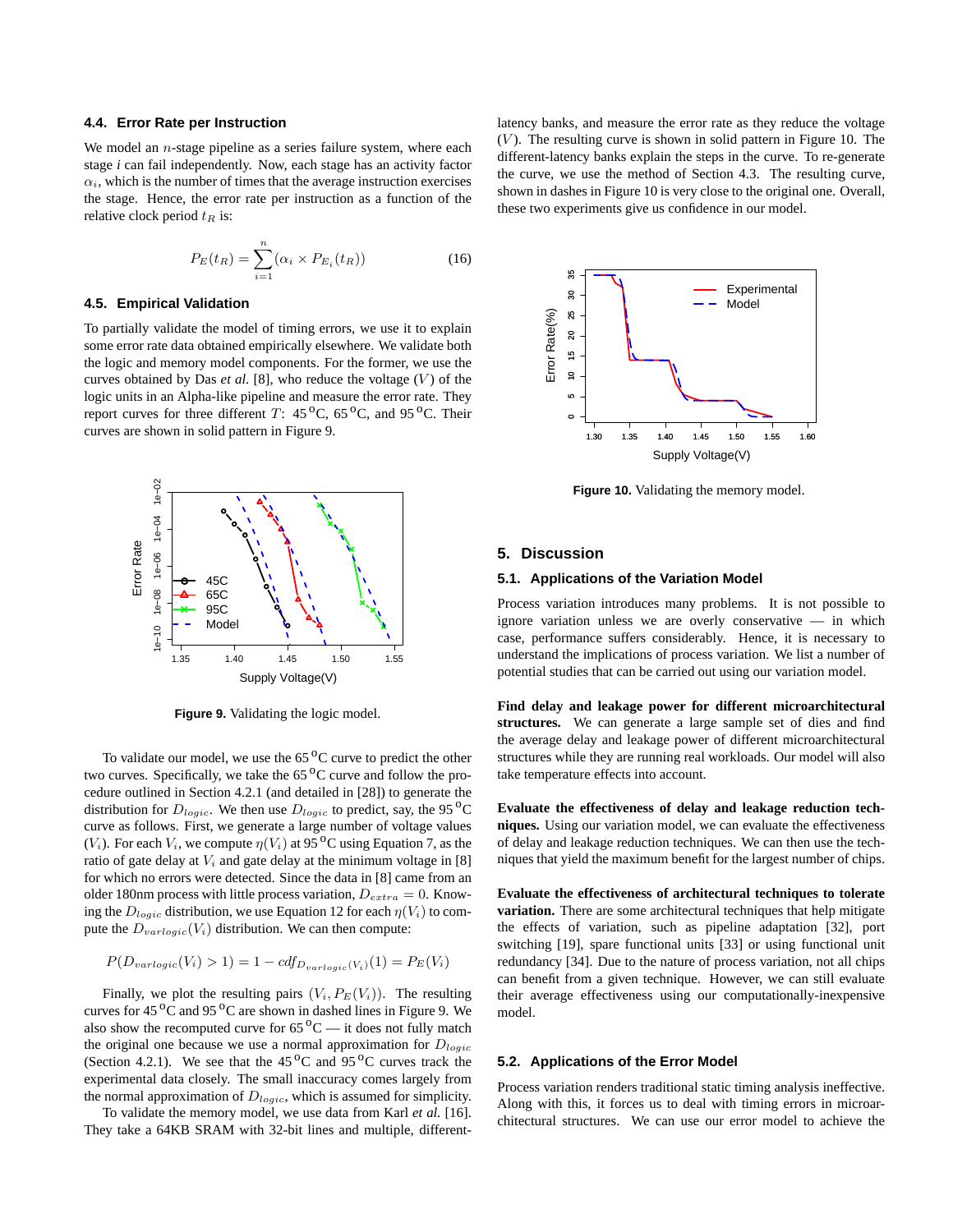#### **4.4. Error Rate per Instruction**

We model an  $n$ -stage pipeline as a series failure system, where each stage *i* can fail independently. Now, each stage has an activity factor  $\alpha_i$ , which is the number of times that the average instruction exercises the stage. Hence, the error rate per instruction as a function of the relative clock period  $t_R$  is:

$$
P_E(t_R) = \sum_{i=1}^{n} (\alpha_i \times P_{E_i}(t_R))
$$
\n(16)

#### **4.5. Empirical Validation**

To partially validate the model of timing errors, we use it to explain some error rate data obtained empirically elsewhere. We validate both the logic and memory model components. For the former, we use the curves obtained by Das  $et$  al. [8], who reduce the voltage  $(V)$  of the logic units in an Alpha-like pipeline and measure the error rate. They report curves for three different T:  $45^{\circ}$ C,  $65^{\circ}$ C, and  $95^{\circ}$ C. Their curves are shown in solid pattern in Figure 9.



**Figure 9.** Validating the logic model.

To validate our model, we use the  $65<sup>o</sup>C$  curve to predict the other two curves. Specifically, we take the  $65<sup>o</sup>C$  curve and follow the procedure outlined in Section 4.2.1 (and detailed in [28]) to generate the distribution for  $D_{logic}$ . We then use  $D_{logic}$  to predict, say, the 95<sup>°</sup>C curve as follows. First, we generate a large number of voltage values  $(V_i)$ . For each  $V_i$ , we compute  $\eta(V_i)$  at 95<sup>o</sup>C using Equation 7, as the ratio of gate delay at  $V_i$  and gate delay at the minimum voltage in [8] for which no errors were detected. Since the data in [8] came from an older 180nm process with little process variation,  $D_{extra} = 0$ . Knowing the  $D_{logic}$  distribution, we use Equation 12 for each  $\eta(V_i)$  to compute the  $D_{variable}(V_i)$  distribution. We can then compute:

$$
P(D_{variable}(V_i) > 1) = 1 - cdf_{D_{variable}(V_i)}(1) = P_E(V_i)
$$

Finally, we plot the resulting pairs  $(V_i, P_E(V_i))$ . The resulting curves for  $45\,^{\circ}$ C and  $95\,^{\circ}$ C are shown in dashed lines in Figure 9. We also show the recomputed curve for  $65\,^{\circ}\text{C}$  — it does not fully match the original one because we use a normal approximation for  $D_{logic}$ (Section 4.2.1). We see that the  $45^{\circ}$ C and  $95^{\circ}$ C curves track the experimental data closely. The small inaccuracy comes largely from the normal approximation of  $D_{logic}$ , which is assumed for simplicity.

To validate the memory model, we use data from Karl *et al.* [16]. They take a 64KB SRAM with 32-bit lines and multiple, differentlatency banks, and measure the error rate as they reduce the voltage  $(V)$ . The resulting curve is shown in solid pattern in Figure 10. The different-latency banks explain the steps in the curve. To re-generate the curve, we use the method of Section 4.3. The resulting curve, shown in dashes in Figure 10 is very close to the original one. Overall, these two experiments give us confidence in our model.



**Figure 10.** Validating the memory model.

# **5. Discussion**

#### **5.1. Applications of the Variation Model**

Process variation introduces many problems. It is not possible to ignore variation unless we are overly conservative — in which case, performance suffers considerably. Hence, it is necessary to understand the implications of process variation. We list a number of potential studies that can be carried out using our variation model.

**Find delay and leakage power for different microarchitectural structures.** We can generate a large sample set of dies and find the average delay and leakage power of different microarchitectural structures while they are running real workloads. Our model will also take temperature effects into account.

**Evaluate the effectiveness of delay and leakage reduction techniques.** Using our variation model, we can evaluate the effectiveness of delay and leakage reduction techniques. We can then use the techniques that yield the maximum benefit for the largest number of chips.

**Evaluate the effectiveness of architectural techniques to tolerate variation.** There are some architectural techniques that help mitigate the effects of variation, such as pipeline adaptation [32], port switching [19], spare functional units [33] or using functional unit redundancy [34]. Due to the nature of process variation, not all chips can benefit from a given technique. However, we can still evaluate their average effectiveness using our computationally-inexpensive model.

## **5.2. Applications of the Error Model**

Process variation renders traditional static timing analysis ineffective. Along with this, it forces us to deal with timing errors in microarchitectural structures. We can use our error model to achieve the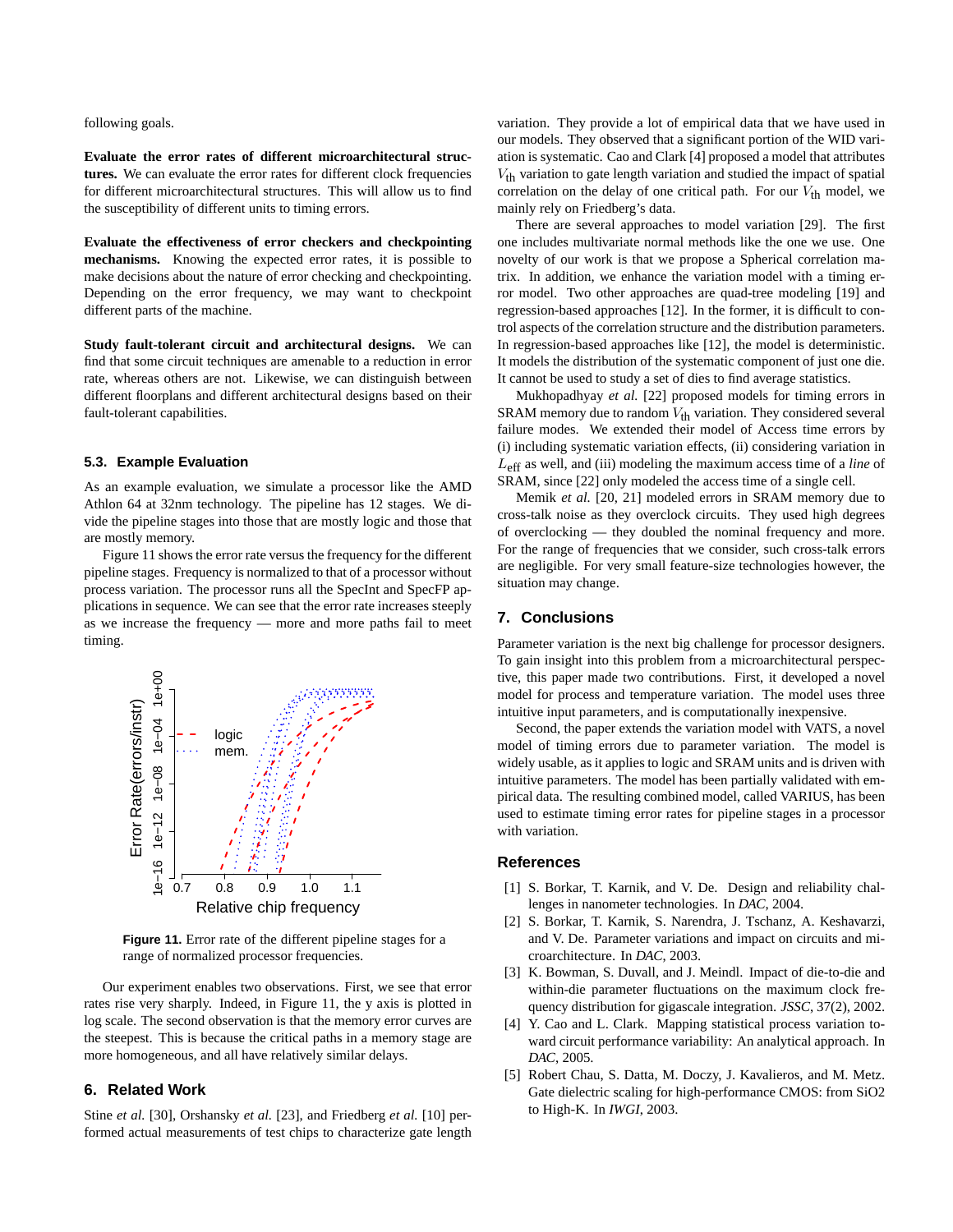following goals.

**Evaluate the error rates of different microarchitectural structures.** We can evaluate the error rates for different clock frequencies for different microarchitectural structures. This will allow us to find the susceptibility of different units to timing errors.

**Evaluate the effectiveness of error checkers and checkpointing mechanisms.** Knowing the expected error rates, it is possible to make decisions about the nature of error checking and checkpointing. Depending on the error frequency, we may want to checkpoint different parts of the machine.

**Study fault-tolerant circuit and architectural designs.** We can find that some circuit techniques are amenable to a reduction in error rate, whereas others are not. Likewise, we can distinguish between different floorplans and different architectural designs based on their fault-tolerant capabilities.

# **5.3. Example Evaluation**

As an example evaluation, we simulate a processor like the AMD Athlon 64 at 32nm technology. The pipeline has 12 stages. We divide the pipeline stages into those that are mostly logic and those that are mostly memory.

Figure 11 shows the error rate versus the frequency for the different pipeline stages. Frequency is normalized to that of a processor without process variation. The processor runs all the SpecInt and SpecFP applications in sequence. We can see that the error rate increases steeply as we increase the frequency — more and more paths fail to meet timing.



**Figure 11.** Error rate of the different pipeline stages for a range of normalized processor frequencies.

Our experiment enables two observations. First, we see that error rates rise very sharply. Indeed, in Figure 11, the y axis is plotted in log scale. The second observation is that the memory error curves are the steepest. This is because the critical paths in a memory stage are more homogeneous, and all have relatively similar delays.

# **6. Related Work**

Stine *et al.* [30], Orshansky *et al.* [23], and Friedberg *et al.* [10] performed actual measurements of test chips to characterize gate length

variation. They provide a lot of empirical data that we have used in our models. They observed that a significant portion of the WID variation is systematic. Cao and Clark [4] proposed a model that attributes  $V_{\text{th}}$  variation to gate length variation and studied the impact of spatial correlation on the delay of one critical path. For our  $V_{th}$  model, we mainly rely on Friedberg's data.

There are several approaches to model variation [29]. The first one includes multivariate normal methods like the one we use. One novelty of our work is that we propose a Spherical correlation matrix. In addition, we enhance the variation model with a timing error model. Two other approaches are quad-tree modeling [19] and regression-based approaches [12]. In the former, it is difficult to control aspects of the correlation structure and the distribution parameters. In regression-based approaches like [12], the model is deterministic. It models the distribution of the systematic component of just one die. It cannot be used to study a set of dies to find average statistics.

Mukhopadhyay *et al.* [22] proposed models for timing errors in SRAM memory due to random  $V_{\text{th}}$  variation. They considered several failure modes. We extended their model of Access time errors by (i) including systematic variation effects, (ii) considering variation in Leff as well, and (iii) modeling the maximum access time of a *line* of SRAM, since [22] only modeled the access time of a single cell.

Memik *et al.* [20, 21] modeled errors in SRAM memory due to cross-talk noise as they overclock circuits. They used high degrees of overclocking — they doubled the nominal frequency and more. For the range of frequencies that we consider, such cross-talk errors are negligible. For very small feature-size technologies however, the situation may change.

## **7. Conclusions**

Parameter variation is the next big challenge for processor designers. To gain insight into this problem from a microarchitectural perspective, this paper made two contributions. First, it developed a novel model for process and temperature variation. The model uses three intuitive input parameters, and is computationally inexpensive.

Second, the paper extends the variation model with VATS, a novel model of timing errors due to parameter variation. The model is widely usable, as it applies to logic and SRAM units and is driven with intuitive parameters. The model has been partially validated with empirical data. The resulting combined model, called VARIUS, has been used to estimate timing error rates for pipeline stages in a processor with variation.

## **References**

- [1] S. Borkar, T. Karnik, and V. De. Design and reliability challenges in nanometer technologies. In *DAC*, 2004.
- [2] S. Borkar, T. Karnik, S. Narendra, J. Tschanz, A. Keshavarzi, and V. De. Parameter variations and impact on circuits and microarchitecture. In *DAC*, 2003.
- [3] K. Bowman, S. Duvall, and J. Meindl. Impact of die-to-die and within-die parameter fluctuations on the maximum clock frequency distribution for gigascale integration. *JSSC*, 37(2), 2002.
- [4] Y. Cao and L. Clark. Mapping statistical process variation toward circuit performance variability: An analytical approach. In *DAC*, 2005.
- [5] Robert Chau, S. Datta, M. Doczy, J. Kavalieros, and M. Metz. Gate dielectric scaling for high-performance CMOS: from SiO2 to High-K. In *IWGI*, 2003.